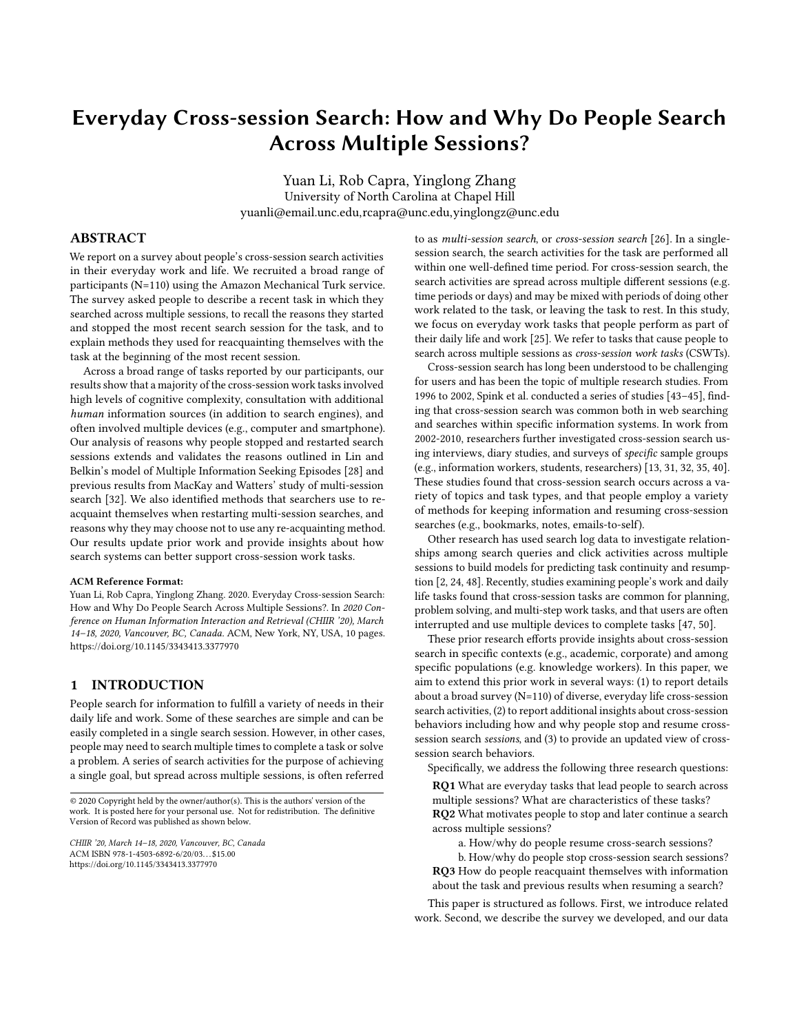# Everyday Cross-session Search: How and Why Do People Search Across Multiple Sessions?

Yuan Li, Rob Capra, Yinglong Zhang University of North Carolina at Chapel Hill yuanli@email.unc.edu,rcapra@unc.edu,yinglongz@unc.edu

# ABSTRACT

We report on a survey about people's cross-session search activities in their everyday work and life. We recruited a broad range of participants (N=110) using the Amazon Mechanical Turk service. The survey asked people to describe a recent task in which they searched across multiple sessions, to recall the reasons they started and stopped the most recent search session for the task, and to explain methods they used for reacquainting themselves with the task at the beginning of the most recent session.

Across a broad range of tasks reported by our participants, our results show that a majority of the cross-session work tasks involved high levels of cognitive complexity, consultation with additional human information sources (in addition to search engines), and often involved multiple devices (e.g., computer and smartphone). Our analysis of reasons why people stopped and restarted search sessions extends and validates the reasons outlined in Lin and Belkin's model of Multiple Information Seeking Episodes [\[28\]](#page-9-0) and previous results from MacKay and Watters' study of multi-session search [\[32\]](#page-9-1). We also identified methods that searchers use to reacquaint themselves when restarting multi-session searches, and reasons why they may choose not to use any re-acquainting method. Our results update prior work and provide insights about how search systems can better support cross-session work tasks.

#### ACM Reference Format:

Yuan Li, Rob Capra, Yinglong Zhang. 2020. Everyday Cross-session Search: How and Why Do People Search Across Multiple Sessions?. In 2020 Conference on Human Information Interaction and Retrieval (CHIIR '20), March 14–18, 2020, Vancouver, BC, Canada. ACM, New York, NY, USA, [10](#page-9-2) pages. <https://doi.org/10.1145/3343413.3377970>

## 1 INTRODUCTION

People search for information to fulfill a variety of needs in their daily life and work. Some of these searches are simple and can be easily completed in a single search session. However, in other cases, people may need to search multiple times to complete a task or solve a problem. A series of search activities for the purpose of achieving a single goal, but spread across multiple sessions, is often referred

to as multi-session search, or cross-session search [\[26\]](#page-9-3). In a singlesession search, the search activities for the task are performed all within one well-defined time period. For cross-session search, the search activities are spread across multiple different sessions (e.g. time periods or days) and may be mixed with periods of doing other work related to the task, or leaving the task to rest. In this study, we focus on everyday work tasks that people perform as part of their daily life and work [\[25\]](#page-9-4). We refer to tasks that cause people to search across multiple sessions as cross-session work tasks (CSWTs).

Cross-session search has long been understood to be challenging for users and has been the topic of multiple research studies. From 1996 to 2002, Spink et al. conducted a series of studies [\[43](#page-9-5)[–45\]](#page-9-6), finding that cross-session search was common both in web searching and searches within specific information systems. In work from 2002-2010, researchers further investigated cross-session search using interviews, diary studies, and surveys of specific sample groups (e.g., information workers, students, researchers) [\[13,](#page-9-7) [31,](#page-9-8) [32,](#page-9-1) [35,](#page-9-9) [40\]](#page-9-10). These studies found that cross-session search occurs across a variety of topics and task types, and that people employ a variety of methods for keeping information and resuming cross-session searches (e.g., bookmarks, notes, emails-to-self).

Other research has used search log data to investigate relationships among search queries and click activities across multiple sessions to build models for predicting task continuity and resumption [\[2,](#page-9-11) [24,](#page-9-12) [48\]](#page-9-13). Recently, studies examining people's work and daily life tasks found that cross-session tasks are common for planning, problem solving, and multi-step work tasks, and that users are often interrupted and use multiple devices to complete tasks [\[47,](#page-9-14) [50\]](#page-9-15).

These prior research efforts provide insights about cross-session search in specific contexts (e.g., academic, corporate) and among specific populations (e.g. knowledge workers). In this paper, we aim to extend this prior work in several ways: (1) to report details about a broad survey (N=110) of diverse, everyday life cross-session search activities, (2) to report additional insights about cross-session behaviors including how and why people stop and resume crosssession search sessions, and (3) to provide an updated view of crosssession search behaviors.

Specifically, we address the following three research questions:

RQ1 What are everyday tasks that lead people to search across multiple sessions? What are characteristics of these tasks? RQ2 What motivates people to stop and later continue a search across multiple sessions?

a. How/why do people resume cross-search sessions?

b. How/why do people stop cross-session search sessions? RQ3 How do people reacquaint themselves with information about the task and previous results when resuming a search?

This paper is structured as follows. First, we introduce related work. Second, we describe the survey we developed, and our data

<sup>© 2020</sup> Copyright held by the owner/author(s). This is the authors' version of the work. It is posted here for your personal use. Not for redistribution. The definitive Version of Record was published as shown below.

CHIIR '20, March 14–18, 2020, Vancouver, BC, Canada ACM ISBN 978-1-4503-6892-6/20/03. . . \$15.00 <https://doi.org/10.1145/3343413.3377970>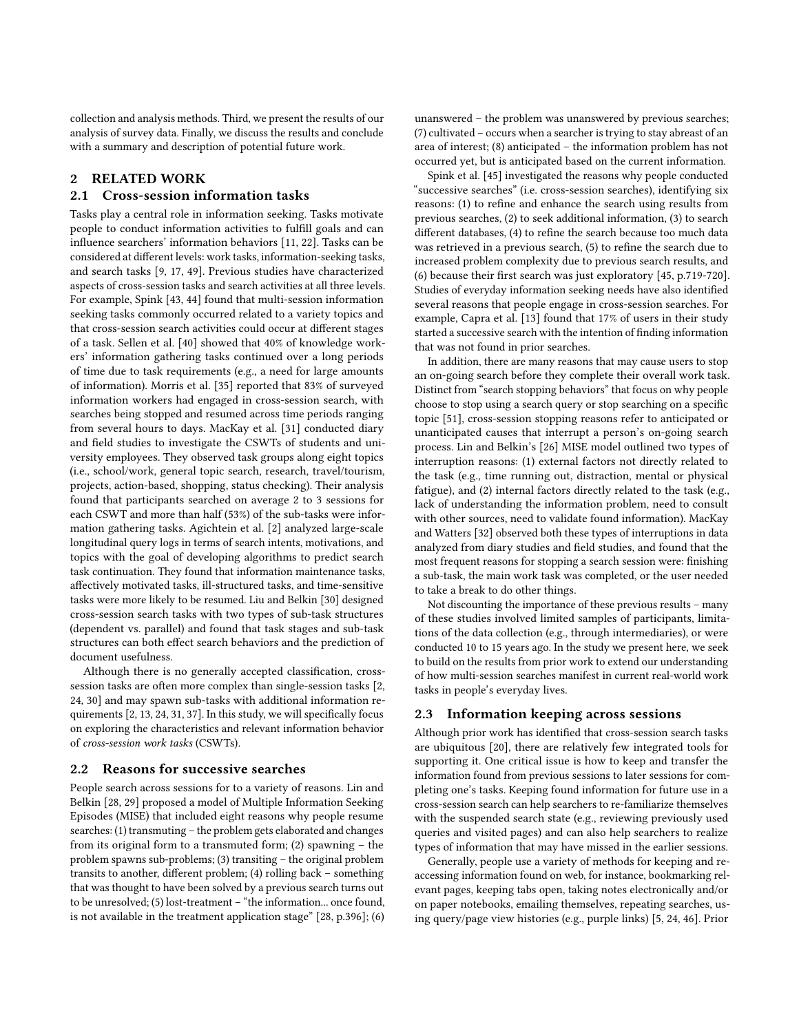collection and analysis methods. Third, we present the results of our analysis of survey data. Finally, we discuss the results and conclude with a summary and description of potential future work.

# 2 RELATED WORK

#### 2.1 Cross-session information tasks

Tasks play a central role in information seeking. Tasks motivate people to conduct information activities to fulfill goals and can influence searchers' information behaviors [\[11,](#page-9-16) [22\]](#page-9-17). Tasks can be considered at different levels: work tasks, information-seeking tasks, and search tasks [\[9,](#page-9-18) [17,](#page-9-19) [49\]](#page-9-20). Previous studies have characterized aspects of cross-session tasks and search activities at all three levels. For example, Spink [\[43,](#page-9-5) [44\]](#page-9-21) found that multi-session information seeking tasks commonly occurred related to a variety topics and that cross-session search activities could occur at different stages of a task. Sellen et al. [\[40\]](#page-9-10) showed that 40% of knowledge workers' information gathering tasks continued over a long periods of time due to task requirements (e.g., a need for large amounts of information). Morris et al. [\[35\]](#page-9-9) reported that 83% of surveyed information workers had engaged in cross-session search, with searches being stopped and resumed across time periods ranging from several hours to days. MacKay et al. [\[31\]](#page-9-8) conducted diary and field studies to investigate the CSWTs of students and university employees. They observed task groups along eight topics (i.e., school/work, general topic search, research, travel/tourism, projects, action-based, shopping, status checking). Their analysis found that participants searched on average 2 to 3 sessions for each CSWT and more than half (53%) of the sub-tasks were information gathering tasks. Agichtein et al. [\[2\]](#page-9-11) analyzed large-scale longitudinal query logs in terms of search intents, motivations, and topics with the goal of developing algorithms to predict search task continuation. They found that information maintenance tasks, affectively motivated tasks, ill-structured tasks, and time-sensitive tasks were more likely to be resumed. Liu and Belkin [\[30\]](#page-9-22) designed cross-session search tasks with two types of sub-task structures (dependent vs. parallel) and found that task stages and sub-task structures can both effect search behaviors and the prediction of document usefulness.

Although there is no generally accepted classification, crosssession tasks are often more complex than single-session tasks [\[2,](#page-9-11) [24,](#page-9-12) [30\]](#page-9-22) and may spawn sub-tasks with additional information requirements [\[2,](#page-9-11) [13,](#page-9-7) [24,](#page-9-12) [31,](#page-9-8) [37\]](#page-9-23). In this study, we will specifically focus on exploring the characteristics and relevant information behavior of cross-session work tasks (CSWTs).

#### <span id="page-1-0"></span>2.2 Reasons for successive searches

People search across sessions for to a variety of reasons. Lin and Belkin [\[28,](#page-9-0) [29\]](#page-9-24) proposed a model of Multiple Information Seeking Episodes (MISE) that included eight reasons why people resume searches: (1) transmuting – the problem gets elaborated and changes from its original form to a transmuted form; (2) spawning – the problem spawns sub-problems; (3) transiting – the original problem transits to another, different problem; (4) rolling back – something that was thought to have been solved by a previous search turns out to be unresolved; (5) lost-treatment – "the information... once found, is not available in the treatment application stage" [\[28,](#page-9-0) p.396]; (6)

unanswered – the problem was unanswered by previous searches; (7) cultivated – occurs when a searcher is trying to stay abreast of an area of interest; (8) anticipated – the information problem has not occurred yet, but is anticipated based on the current information.

Spink et al. [\[45\]](#page-9-6) investigated the reasons why people conducted "successive searches" (i.e. cross-session searches), identifying six reasons: (1) to refine and enhance the search using results from previous searches, (2) to seek additional information, (3) to search different databases, (4) to refine the search because too much data was retrieved in a previous search, (5) to refine the search due to increased problem complexity due to previous search results, and (6) because their first search was just exploratory [\[45,](#page-9-6) p.719-720]. Studies of everyday information seeking needs have also identified several reasons that people engage in cross-session searches. For example, Capra et al. [\[13\]](#page-9-7) found that 17% of users in their study started a successive search with the intention of finding information that was not found in prior searches.

In addition, there are many reasons that may cause users to stop an on-going search before they complete their overall work task. Distinct from "search stopping behaviors" that focus on why people choose to stop using a search query or stop searching on a specific topic [\[51\]](#page-9-25), cross-session stopping reasons refer to anticipated or unanticipated causes that interrupt a person's on-going search process. Lin and Belkin's [\[26\]](#page-9-3) MISE model outlined two types of interruption reasons: (1) external factors not directly related to the task (e.g., time running out, distraction, mental or physical fatigue), and (2) internal factors directly related to the task (e.g., lack of understanding the information problem, need to consult with other sources, need to validate found information). MacKay and Watters [\[32\]](#page-9-1) observed both these types of interruptions in data analyzed from diary studies and field studies, and found that the most frequent reasons for stopping a search session were: finishing a sub-task, the main work task was completed, or the user needed to take a break to do other things.

Not discounting the importance of these previous results – many of these studies involved limited samples of participants, limitations of the data collection (e.g., through intermediaries), or were conducted 10 to 15 years ago. In the study we present here, we seek to build on the results from prior work to extend our understanding of how multi-session searches manifest in current real-world work tasks in people's everyday lives.

#### 2.3 Information keeping across sessions

Although prior work has identified that cross-session search tasks are ubiquitous [\[20\]](#page-9-26), there are relatively few integrated tools for supporting it. One critical issue is how to keep and transfer the information found from previous sessions to later sessions for completing one's tasks. Keeping found information for future use in a cross-session search can help searchers to re-familiarize themselves with the suspended search state (e.g., reviewing previously used queries and visited pages) and can also help searchers to realize types of information that may have missed in the earlier sessions.

Generally, people use a variety of methods for keeping and reaccessing information found on web, for instance, bookmarking relevant pages, keeping tabs open, taking notes electronically and/or on paper notebooks, emailing themselves, repeating searches, using query/page view histories (e.g., purple links) [\[5,](#page-9-27) [24,](#page-9-12) [46\]](#page-9-28). Prior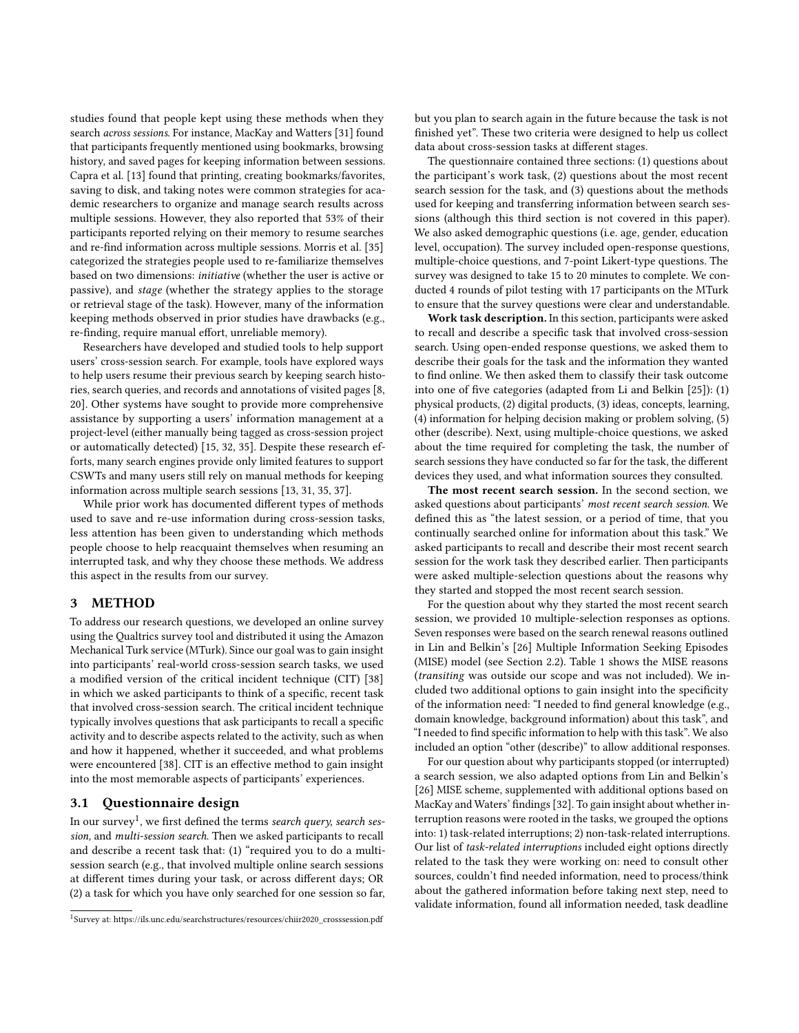studies found that people kept using these methods when they search across sessions. For instance, MacKay and Watters [\[31\]](#page-9-8) found that participants frequently mentioned using bookmarks, browsing history, and saved pages for keeping information between sessions. Capra et al. [\[13\]](#page-9-7) found that printing, creating bookmarks/favorites, saving to disk, and taking notes were common strategies for academic researchers to organize and manage search results across multiple sessions. However, they also reported that 53% of their participants reported relying on their memory to resume searches and re-find information across multiple sessions. Morris et al. [\[35\]](#page-9-9) categorized the strategies people used to re-familiarize themselves based on two dimensions: initiative (whether the user is active or passive), and stage (whether the strategy applies to the storage or retrieval stage of the task). However, many of the information keeping methods observed in prior studies have drawbacks (e.g., re-finding, require manual effort, unreliable memory).

Researchers have developed and studied tools to help support users' cross-session search. For example, tools have explored ways to help users resume their previous search by keeping search histories, search queries, and records and annotations of visited pages [\[8,](#page-9-29) [20\]](#page-9-26). Other systems have sought to provide more comprehensive assistance by supporting a users' information management at a project-level (either manually being tagged as cross-session project or automatically detected) [\[15,](#page-9-30) [32,](#page-9-1) [35\]](#page-9-9). Despite these research efforts, many search engines provide only limited features to support CSWTs and many users still rely on manual methods for keeping information across multiple search sessions [\[13,](#page-9-7) [31,](#page-9-8) [35,](#page-9-9) [37\]](#page-9-23).

While prior work has documented different types of methods used to save and re-use information during cross-session tasks, less attention has been given to understanding which methods people choose to help reacquaint themselves when resuming an interrupted task, and why they choose these methods. We address this aspect in the results from our survey.

## 3 METHOD

To address our research questions, we developed an online survey using the Qualtrics survey tool and distributed it using the Amazon Mechanical Turk service (MTurk). Since our goal was to gain insight into participants' real-world cross-session search tasks, we used a modified version of the critical incident technique (CIT) [\[38\]](#page-9-31) in which we asked participants to think of a specific, recent task that involved cross-session search. The critical incident technique typically involves questions that ask participants to recall a specific activity and to describe aspects related to the activity, such as when and how it happened, whether it succeeded, and what problems were encountered [\[38\]](#page-9-31). CIT is an effective method to gain insight into the most memorable aspects of participants' experiences.

# 3.1 Questionnaire design

In our survey $^1$  $^1$ , we first defined the terms *search query, search ses*sion, and multi-session search. Then we asked participants to recall and describe a recent task that: (1) "required you to do a multisession search (e.g., that involved multiple online search sessions at different times during your task, or across different days; OR (2) a task for which you have only searched for one session so far, but you plan to search again in the future because the task is not finished yet". These two criteria were designed to help us collect data about cross-session tasks at different stages.

The questionnaire contained three sections: (1) questions about the participant's work task, (2) questions about the most recent search session for the task, and (3) questions about the methods used for keeping and transferring information between search sessions (although this third section is not covered in this paper). We also asked demographic questions (i.e. age, gender, education level, occupation). The survey included open-response questions, multiple-choice questions, and 7-point Likert-type questions. The survey was designed to take 15 to 20 minutes to complete. We conducted 4 rounds of pilot testing with 17 participants on the MTurk to ensure that the survey questions were clear and understandable.

Work task description. In this section, participants were asked to recall and describe a specific task that involved cross-session search. Using open-ended response questions, we asked them to describe their goals for the task and the information they wanted to find online. We then asked them to classify their task outcome into one of five categories (adapted from Li and Belkin [\[25\]](#page-9-4)): (1) physical products, (2) digital products, (3) ideas, concepts, learning, (4) information for helping decision making or problem solving, (5) other (describe). Next, using multiple-choice questions, we asked about the time required for completing the task, the number of search sessions they have conducted so far for the task, the different devices they used, and what information sources they consulted.

The most recent search session. In the second section, we asked questions about participants' most recent search session. We defined this as "the latest session, or a period of time, that you continually searched online for information about this task." We asked participants to recall and describe their most recent search session for the work task they described earlier. Then participants were asked multiple-selection questions about the reasons why they started and stopped the most recent search session.

For the question about why they started the most recent search session, we provided 10 multiple-selection responses as options. Seven responses were based on the search renewal reasons outlined in Lin and Belkin's [\[26\]](#page-9-3) Multiple Information Seeking Episodes (MISE) model (see Section [2.2\)](#page-1-0). Table [1](#page-3-0) shows the MISE reasons (transiting was outside our scope and was not included). We included two additional options to gain insight into the specificity of the information need: "I needed to find general knowledge (e.g., domain knowledge, background information) about this task", and "I needed to find specific information to help with this task". We also included an option "other (describe)" to allow additional responses.

For our question about why participants stopped (or interrupted) a search session, we also adapted options from Lin and Belkin's [\[26\]](#page-9-3) MISE scheme, supplemented with additional options based on MacKay and Waters' findings [\[32\]](#page-9-1). To gain insight about whether interruption reasons were rooted in the tasks, we grouped the options into: 1) task-related interruptions; 2) non-task-related interruptions. Our list of task-related interruptions included eight options directly related to the task they were working on: need to consult other sources, couldn't find needed information, need to process/think about the gathered information before taking next step, need to validate information, found all information needed, task deadline

<span id="page-2-0"></span><sup>1</sup> Survey at: [https://ils.unc.edu/searchstructures/resources/chiir2020\\_crosssession.pdf](https://ils.unc.edu/searchstructures/resources/chiir2020_crosssession.pdf)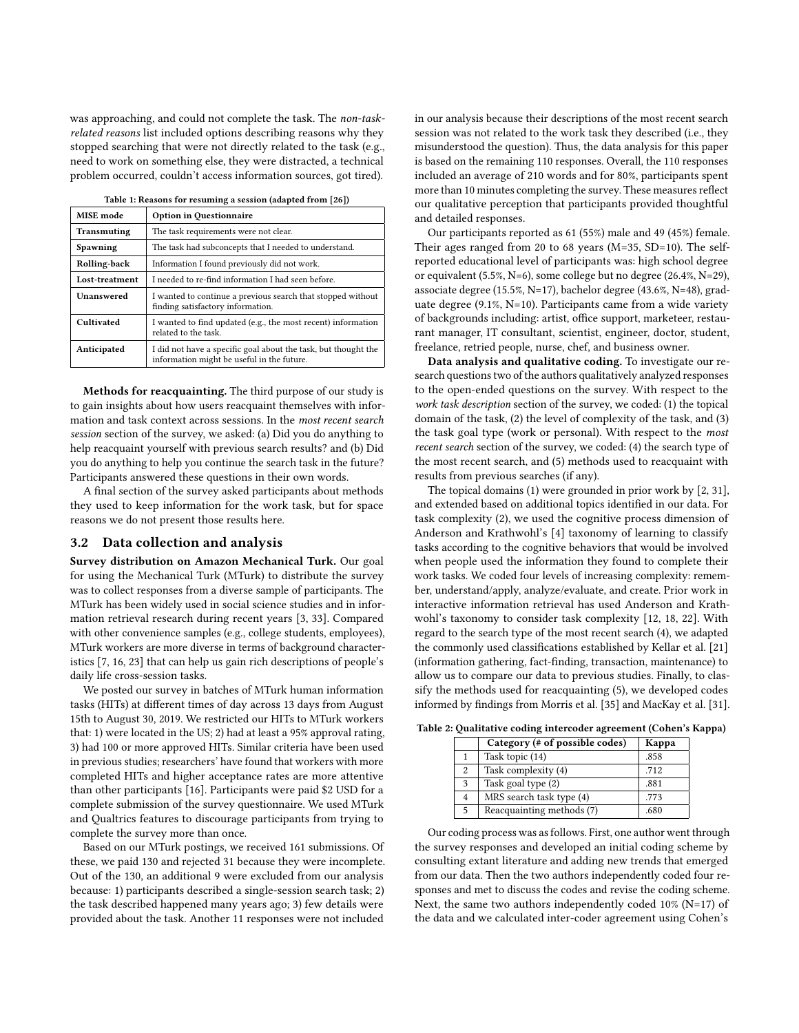was approaching, and could not complete the task. The non-taskrelated reasons list included options describing reasons why they stopped searching that were not directly related to the task (e.g., need to work on something else, they were distracted, a technical problem occurred, couldn't access information sources, got tired).

<span id="page-3-0"></span>

| MISE mode           | Option in Questionnaire                                                                                      |
|---------------------|--------------------------------------------------------------------------------------------------------------|
| Transmuting         | The task requirements were not clear.                                                                        |
| Spawning            | The task had subconcepts that I needed to understand.                                                        |
| <b>Rolling-back</b> | Information I found previously did not work.                                                                 |
| Lost-treatment      | I needed to re-find information I had seen before.                                                           |
| Unanswered          | I wanted to continue a previous search that stopped without<br>finding satisfactory information.             |
| Cultivated          | I wanted to find updated (e.g., the most recent) information<br>related to the task.                         |
| Anticipated         | I did not have a specific goal about the task, but thought the<br>information might be useful in the future. |

Table 1: Reasons for resuming a session (adapted from [\[26\]](#page-9-3))

Methods for reacquainting. The third purpose of our study is to gain insights about how users reacquaint themselves with information and task context across sessions. In the most recent search session section of the survey, we asked: (a) Did you do anything to help reacquaint yourself with previous search results? and (b) Did you do anything to help you continue the search task in the future? Participants answered these questions in their own words.

A final section of the survey asked participants about methods they used to keep information for the work task, but for space reasons we do not present those results here.

## 3.2 Data collection and analysis

Survey distribution on Amazon Mechanical Turk. Our goal for using the Mechanical Turk (MTurk) to distribute the survey was to collect responses from a diverse sample of participants. The MTurk has been widely used in social science studies and in information retrieval research during recent years [\[3,](#page-9-32) [33\]](#page-9-33). Compared with other convenience samples (e.g., college students, employees), MTurk workers are more diverse in terms of background characteristics [\[7,](#page-9-34) [16,](#page-9-35) [23\]](#page-9-36) that can help us gain rich descriptions of people's daily life cross-session tasks.

We posted our survey in batches of MTurk human information tasks (HITs) at different times of day across 13 days from August 15th to August 30, 2019. We restricted our HITs to MTurk workers that: 1) were located in the US; 2) had at least a 95% approval rating, 3) had 100 or more approved HITs. Similar criteria have been used in previous studies; researchers' have found that workers with more completed HITs and higher acceptance rates are more attentive than other participants [\[16\]](#page-9-35). Participants were paid \$2 USD for a complete submission of the survey questionnaire. We used MTurk and Qualtrics features to discourage participants from trying to complete the survey more than once.

Based on our MTurk postings, we received 161 submissions. Of these, we paid 130 and rejected 31 because they were incomplete. Out of the 130, an additional 9 were excluded from our analysis because: 1) participants described a single-session search task; 2) the task described happened many years ago; 3) few details were provided about the task. Another 11 responses were not included

in our analysis because their descriptions of the most recent search session was not related to the work task they described (i.e., they misunderstood the question). Thus, the data analysis for this paper is based on the remaining 110 responses. Overall, the 110 responses included an average of 210 words and for 80%, participants spent more than 10 minutes completing the survey. These measures reflect our qualitative perception that participants provided thoughtful and detailed responses.

Our participants reported as 61 (55%) male and 49 (45%) female. Their ages ranged from 20 to 68 years (M=35, SD=10). The selfreported educational level of participants was: high school degree or equivalent (5.5%, N=6), some college but no degree (26.4%, N=29), associate degree (15.5%, N=17), bachelor degree (43.6%, N=48), graduate degree (9.1%, N=10). Participants came from a wide variety of backgrounds including: artist, office support, marketeer, restaurant manager, IT consultant, scientist, engineer, doctor, student, freelance, retried people, nurse, chef, and business owner.

Data analysis and qualitative coding. To investigate our research questions two of the authors qualitatively analyzed responses to the open-ended questions on the survey. With respect to the work task description section of the survey, we coded: (1) the topical domain of the task, (2) the level of complexity of the task, and (3) the task goal type (work or personal). With respect to the most recent search section of the survey, we coded: (4) the search type of the most recent search, and (5) methods used to reacquaint with results from previous searches (if any).

The topical domains (1) were grounded in prior work by [\[2,](#page-9-11) [31\]](#page-9-8), and extended based on additional topics identified in our data. For task complexity (2), we used the cognitive process dimension of Anderson and Krathwohl's [\[4\]](#page-9-37) taxonomy of learning to classify tasks according to the cognitive behaviors that would be involved when people used the information they found to complete their work tasks. We coded four levels of increasing complexity: remember, understand/apply, analyze/evaluate, and create. Prior work in interactive information retrieval has used Anderson and Krathwohl's taxonomy to consider task complexity [\[12,](#page-9-38) [18,](#page-9-39) [22\]](#page-9-17). With regard to the search type of the most recent search (4), we adapted the commonly used classifications established by Kellar et al. [\[21\]](#page-9-40) (information gathering, fact-finding, transaction, maintenance) to allow us to compare our data to previous studies. Finally, to classify the methods used for reacquainting (5), we developed codes informed by findings from Morris et al. [\[35\]](#page-9-9) and MacKay et al. [\[31\]](#page-9-8).

<span id="page-3-1"></span>

| Table 2: Qualitative coding intercoder agreement (Cohen's Kappa) |  |
|------------------------------------------------------------------|--|

|   | Category (# of possible codes) | Kappa |
|---|--------------------------------|-------|
|   | Task topic (14)                | .858  |
| 2 | Task complexity (4)            | .712  |
| 3 | Task goal type (2)             | .881  |
|   | MRS search task type (4)       | .773  |
|   | Reacquainting methods (7)      | .680  |

Our coding process was as follows. First, one author went through the survey responses and developed an initial coding scheme by consulting extant literature and adding new trends that emerged from our data. Then the two authors independently coded four responses and met to discuss the codes and revise the coding scheme. Next, the same two authors independently coded 10% (N=17) of the data and we calculated inter-coder agreement using Cohen's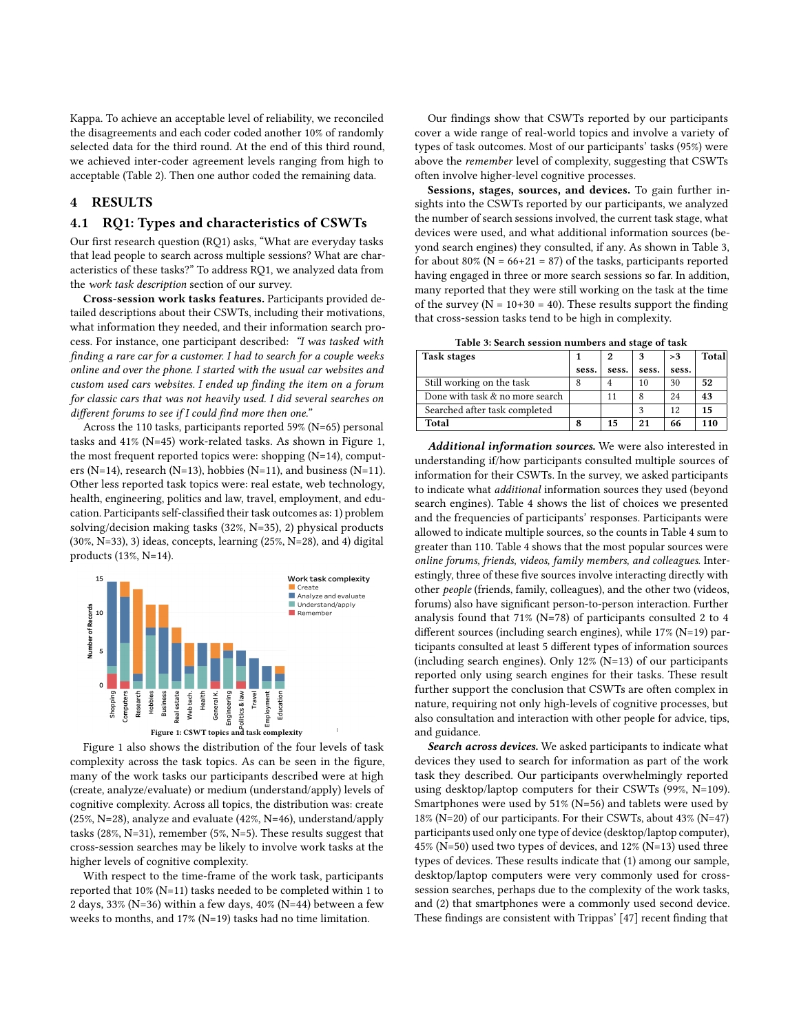Kappa. To achieve an acceptable level of reliability, we reconciled the disagreements and each coder coded another 10% of randomly selected data for the third round. At the end of this third round, we achieved inter-coder agreement levels ranging from high to acceptable (Table [2\)](#page-3-1). Then one author coded the remaining data.

# 4 RESULTS

#### 4.1 RQ1: Types and characteristics of CSWTs

Our first research question (RQ1) asks, "What are everyday tasks that lead people to search across multiple sessions? What are characteristics of these tasks?" To address RQ1, we analyzed data from the work task description section of our survey.

Cross-session work tasks features. Participants provided detailed descriptions about their CSWTs, including their motivations, what information they needed, and their information search process. For instance, one participant described: "I was tasked with finding a rare car for a customer. I had to search for a couple weeks online and over the phone. I started with the usual car websites and custom used cars websites. I ended up finding the item on a forum for classic cars that was not heavily used. I did several searches on different forums to see if I could find more then one."

Across the 110 tasks, participants reported 59% (N=65) personal tasks and 41% (N=45) work-related tasks. As shown in Figure [1,](#page-4-0) the most frequent reported topics were: shopping (N=14), computers (N=14), research (N=13), hobbies (N=11), and business (N=11). Other less reported task topics were: real estate, web technology, health, engineering, politics and law, travel, employment, and education. Participants self-classified their task outcomes as: 1) problem solving/decision making tasks (32%, N=35), 2) physical products (30%, N=33), 3) ideas, concepts, learning (25%, N=28), and 4) digital products (13%, N=14).

<span id="page-4-0"></span>

Figure [1](#page-4-0) also shows the distribution of the four levels of task complexity across the task topics. As can be seen in the figure, many of the work tasks our participants described were at high (create, analyze/evaluate) or medium (understand/apply) levels of cognitive complexity. Across all topics, the distribution was: create (25%, N=28), analyze and evaluate (42%, N=46), understand/apply tasks (28%, N=31), remember (5%, N=5). These results suggest that cross-session searches may be likely to involve work tasks at the higher levels of cognitive complexity.

With respect to the time-frame of the work task, participants reported that 10% (N=11) tasks needed to be completed within 1 to 2 days, 33% (N=36) within a few days, 40% (N=44) between a few weeks to months, and 17% (N=19) tasks had no time limitation.

Our findings show that CSWTs reported by our participants cover a wide range of real-world topics and involve a variety of types of task outcomes. Most of our participants' tasks (95%) were above the remember level of complexity, suggesting that CSWTs often involve higher-level cognitive processes.

Sessions, stages, sources, and devices. To gain further insights into the CSWTs reported by our participants, we analyzed the number of search sessions involved, the current task stage, what devices were used, and what additional information sources (beyond search engines) they consulted, if any. As shown in Table [3,](#page-4-1) for about 80% ( $N = 66+21 = 87$ ) of the tasks, participants reported having engaged in three or more search sessions so far. In addition, many reported that they were still working on the task at the time of the survey ( $N = 10+30 = 40$ ). These results support the finding that cross-session tasks tend to be high in complexity.

Table 3: Search session numbers and stage of task

<span id="page-4-1"></span>

| <b>Task stages</b>              |       | 2     | 3     | >3    | Total |
|---------------------------------|-------|-------|-------|-------|-------|
|                                 | sess. | sess. | sess. | sess. |       |
| Still working on the task       |       | 4     | 10    | 30    | 52    |
| Done with task & no more search |       | 11    | 8     | 24    | 43    |
| Searched after task completed   |       |       | 3     | 12    | 15    |
| Total                           | 8     | 15    | 21    | 66    | 110   |

Additional information sources. We were also interested in understanding if/how participants consulted multiple sources of information for their CSWTs. In the survey, we asked participants to indicate what additional information sources they used (beyond search engines). Table [4](#page-5-0) shows the list of choices we presented and the frequencies of participants' responses. Participants were allowed to indicate multiple sources, so the counts in Table [4](#page-5-0) sum to greater than 110. Table [4](#page-5-0) shows that the most popular sources were online forums, friends, videos, family members, and colleagues. Interestingly, three of these five sources involve interacting directly with other people (friends, family, colleagues), and the other two (videos, forums) also have significant person-to-person interaction. Further analysis found that 71% (N=78) of participants consulted 2 to 4 different sources (including search engines), while 17% (N=19) participants consulted at least 5 different types of information sources (including search engines). Only 12% (N=13) of our participants reported only using search engines for their tasks. These result further support the conclusion that CSWTs are often complex in nature, requiring not only high-levels of cognitive processes, but also consultation and interaction with other people for advice, tips, and guidance.

Search across devices. We asked participants to indicate what devices they used to search for information as part of the work task they described. Our participants overwhelmingly reported using desktop/laptop computers for their CSWTs (99%, N=109). Smartphones were used by 51% (N=56) and tablets were used by 18% (N=20) of our participants. For their CSWTs, about 43% (N=47) participants used only one type of device (desktop/laptop computer), 45% (N=50) used two types of devices, and 12% (N=13) used three types of devices. These results indicate that (1) among our sample, desktop/laptop computers were very commonly used for crosssession searches, perhaps due to the complexity of the work tasks, and (2) that smartphones were a commonly used second device. These findings are consistent with Trippas' [\[47\]](#page-9-14) recent finding that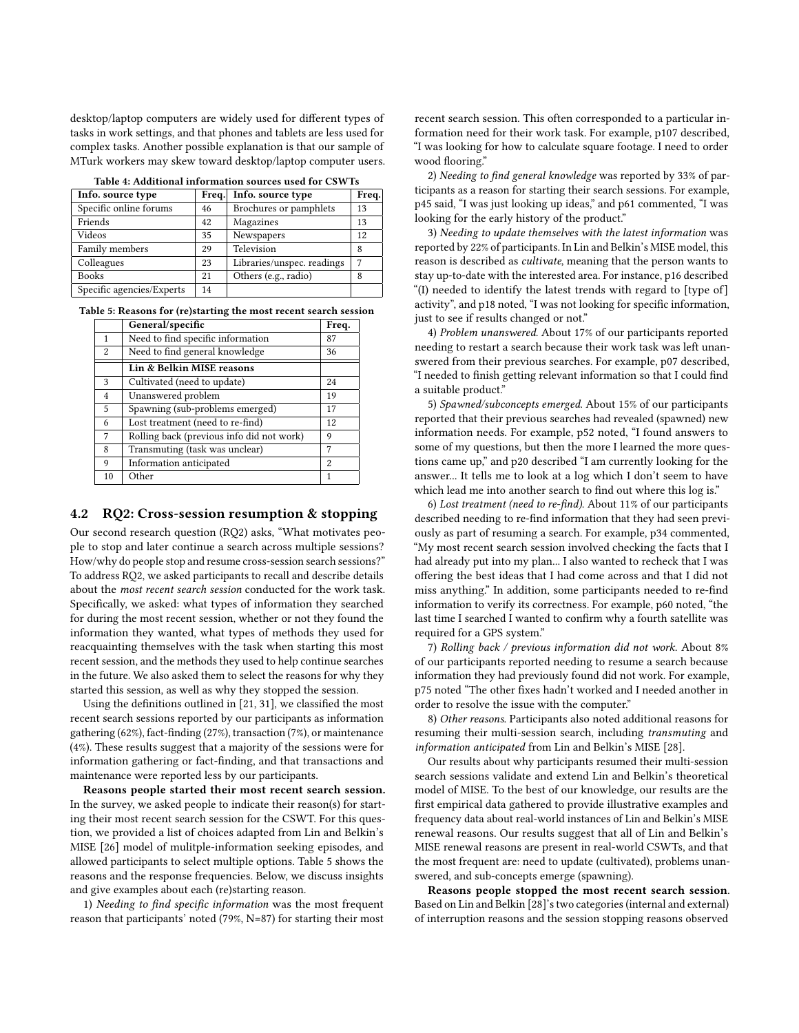desktop/laptop computers are widely used for different types of tasks in work settings, and that phones and tablets are less used for complex tasks. Another possible explanation is that our sample of MTurk workers may skew toward desktop/laptop computer users.

<span id="page-5-0"></span>

| Table 4. Augustulai mitolination sources used for Co W Ts |       |                            |       |  |
|-----------------------------------------------------------|-------|----------------------------|-------|--|
| Info. source type                                         | Freq. | Info. source type          | Freq. |  |
| Specific online forums                                    | 46    | Brochures or pamphlets     | 13    |  |
| Friends                                                   | 42    | Magazines                  | 13    |  |
| Videos                                                    | 35    | Newspapers                 | 12    |  |
| Family members                                            | 29    | Television                 | 8     |  |
| Colleagues                                                | 23    | Libraries/unspec. readings | 7     |  |
| Books                                                     | 21    | Others (e.g., radio)       | 8     |  |
| Specific agencies/Experts                                 | 14    |                            |       |  |

Table 4: Additional information sources used for CSWTs

<span id="page-5-1"></span>

|  |  | Table 5: Reasons for (re)starting the most recent search session |
|--|--|------------------------------------------------------------------|
|--|--|------------------------------------------------------------------|

|                | General/specific                          | Freq. |
|----------------|-------------------------------------------|-------|
| $\mathbf{1}$   | Need to find specific information         | 87    |
| 2              | Need to find general knowledge            | 36    |
|                | Lin & Belkin MISE reasons                 |       |
| 3              | Cultivated (need to update)               | 24    |
| $\overline{4}$ | Unanswered problem                        | 19    |
| 5              | Spawning (sub-problems emerged)           | 17    |
| 6              | Lost treatment (need to re-find)          | 12    |
| 7              | Rolling back (previous info did not work) | 9     |
| 8              | Transmuting (task was unclear)            | 7     |
| 9              | Information anticipated                   | 2     |
| 10             | Other                                     | 1     |

#### 4.2 RQ2: Cross-session resumption & stopping

Our second research question (RQ2) asks, "What motivates people to stop and later continue a search across multiple sessions? How/why do people stop and resume cross-session search sessions?" To address RQ2, we asked participants to recall and describe details about the most recent search session conducted for the work task. Specifically, we asked: what types of information they searched for during the most recent session, whether or not they found the information they wanted, what types of methods they used for reacquainting themselves with the task when starting this most recent session, and the methods they used to help continue searches in the future. We also asked them to select the reasons for why they started this session, as well as why they stopped the session.

Using the definitions outlined in [\[21,](#page-9-40) [31\]](#page-9-8), we classified the most recent search sessions reported by our participants as information gathering (62%), fact-finding (27%), transaction (7%), or maintenance (4%). These results suggest that a majority of the sessions were for information gathering or fact-finding, and that transactions and maintenance were reported less by our participants.

Reasons people started their most recent search session. In the survey, we asked people to indicate their reason(s) for starting their most recent search session for the CSWT. For this question, we provided a list of choices adapted from Lin and Belkin's MISE [\[26\]](#page-9-3) model of mulitple-information seeking episodes, and allowed participants to select multiple options. Table [5](#page-5-1) shows the reasons and the response frequencies. Below, we discuss insights and give examples about each (re)starting reason.

1) Needing to find specific information was the most frequent reason that participants' noted (79%, N=87) for starting their most

recent search session. This often corresponded to a particular information need for their work task. For example, p107 described, "I was looking for how to calculate square footage. I need to order wood flooring."

2) Needing to find general knowledge was reported by 33% of participants as a reason for starting their search sessions. For example, p45 said, "I was just looking up ideas," and p61 commented, "I was looking for the early history of the product."

3) Needing to update themselves with the latest information was reported by 22% of participants. In Lin and Belkin's MISE model, this reason is described as cultivate, meaning that the person wants to stay up-to-date with the interested area. For instance, p16 described "(I) needed to identify the latest trends with regard to [type of] activity", and p18 noted, "I was not looking for specific information, just to see if results changed or not."

4) Problem unanswered. About 17% of our participants reported needing to restart a search because their work task was left unanswered from their previous searches. For example, p07 described, "I needed to finish getting relevant information so that I could find a suitable product."

5) Spawned/subconcepts emerged. About 15% of our participants reported that their previous searches had revealed (spawned) new information needs. For example, p52 noted, "I found answers to some of my questions, but then the more I learned the more questions came up," and p20 described "I am currently looking for the answer... It tells me to look at a log which I don't seem to have which lead me into another search to find out where this log is."

6) Lost treatment (need to re-find). About 11% of our participants described needing to re-find information that they had seen previously as part of resuming a search. For example, p34 commented, "My most recent search session involved checking the facts that I had already put into my plan... I also wanted to recheck that I was offering the best ideas that I had come across and that I did not miss anything." In addition, some participants needed to re-find information to verify its correctness. For example, p60 noted, "the last time I searched I wanted to confirm why a fourth satellite was required for a GPS system."

7) Rolling back / previous information did not work. About 8% of our participants reported needing to resume a search because information they had previously found did not work. For example, p75 noted "The other fixes hadn't worked and I needed another in order to resolve the issue with the computer."

8) Other reasons. Participants also noted additional reasons for resuming their multi-session search, including transmuting and information anticipated from Lin and Belkin's MISE [\[28\]](#page-9-0).

Our results about why participants resumed their multi-session search sessions validate and extend Lin and Belkin's theoretical model of MISE. To the best of our knowledge, our results are the first empirical data gathered to provide illustrative examples and frequency data about real-world instances of Lin and Belkin's MISE renewal reasons. Our results suggest that all of Lin and Belkin's MISE renewal reasons are present in real-world CSWTs, and that the most frequent are: need to update (cultivated), problems unanswered, and sub-concepts emerge (spawning).

Reasons people stopped the most recent search session. Based on Lin and Belkin [\[28\]](#page-9-0)'s two categories (internal and external) of interruption reasons and the session stopping reasons observed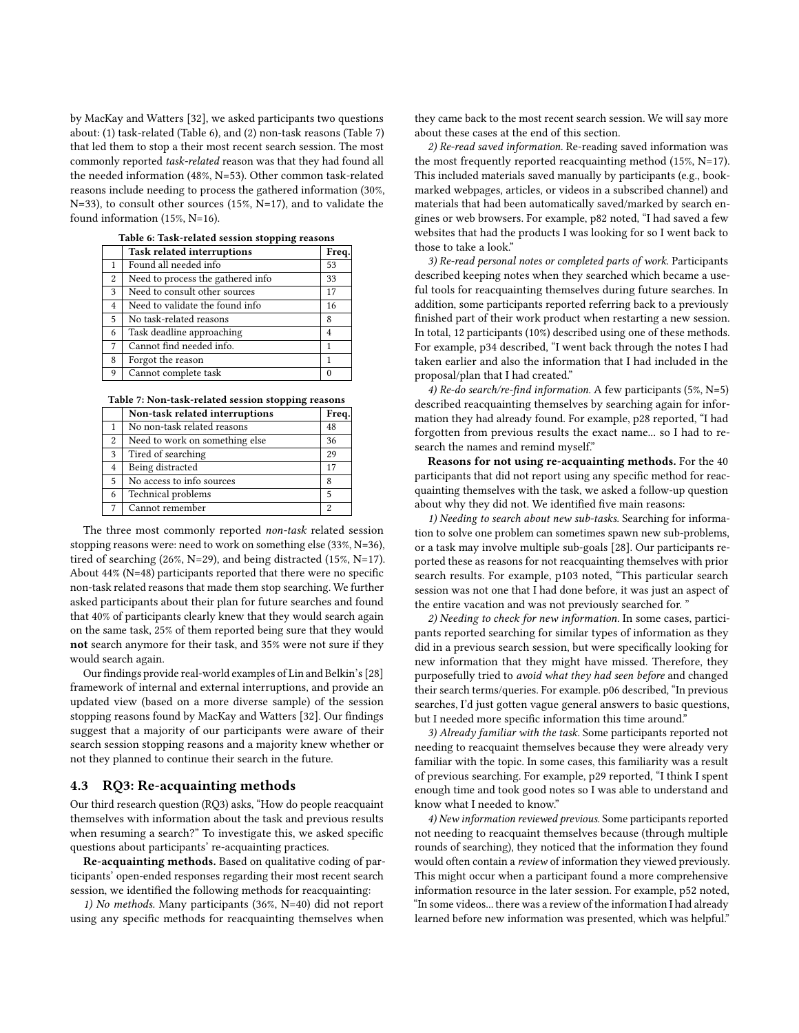by MacKay and Watters [\[32\]](#page-9-1), we asked participants two questions about: (1) task-related (Table [6\)](#page-6-0), and (2) non-task reasons (Table [7\)](#page-6-1) that led them to stop a their most recent search session. The most commonly reported task-related reason was that they had found all the needed information (48%, N=53). Other common task-related reasons include needing to process the gathered information (30%, N=33), to consult other sources (15%, N=17), and to validate the found information (15%, N=16).

<span id="page-6-0"></span>

|                | <b>Task related interruptions</b> | Freq. |
|----------------|-----------------------------------|-------|
| 1              | Found all needed info             | 53    |
| 2              | Need to process the gathered info | 33    |
| 3              | Need to consult other sources     | 17    |
| $\overline{4}$ | Need to validate the found info   | 16    |
| 5              | No task-related reasons           | 8     |
| 6              | Task deadline approaching         | 4     |
| 7              | Cannot find needed info.          | 1     |
| 8              | Forgot the reason                 | 1     |
| 9              | Cannot complete task              | 0     |
|                |                                   |       |

Table 6: Task-related session stopping reasons

<span id="page-6-1"></span>Table 7: Non-task-related session stopping reasons

|   | Non-task related interruptions | Freq. |
|---|--------------------------------|-------|
|   | No non-task related reasons    | 48    |
| 2 | Need to work on something else | 36    |
| 3 | Tired of searching             | 29    |
| 4 | Being distracted               | 17    |
| 5 | No access to info sources      | 8     |
| 6 | Technical problems             | 5     |
| 7 | Cannot remember                | 2     |

The three most commonly reported non-task related session stopping reasons were: need to work on something else (33%, N=36), tired of searching (26%, N=29), and being distracted (15%, N=17). About 44% (N=48) participants reported that there were no specific non-task related reasons that made them stop searching. We further asked participants about their plan for future searches and found that 40% of participants clearly knew that they would search again on the same task, 25% of them reported being sure that they would not search anymore for their task, and 35% were not sure if they would search again.

Our findings provide real-world examples of Lin and Belkin's [\[28\]](#page-9-0) framework of internal and external interruptions, and provide an updated view (based on a more diverse sample) of the session stopping reasons found by MacKay and Watters [\[32\]](#page-9-1). Our findings suggest that a majority of our participants were aware of their search session stopping reasons and a majority knew whether or not they planned to continue their search in the future.

## 4.3 RQ3: Re-acquainting methods

Our third research question (RQ3) asks, "How do people reacquaint themselves with information about the task and previous results when resuming a search?" To investigate this, we asked specific questions about participants' re-acquainting practices.

Re-acquainting methods. Based on qualitative coding of participants' open-ended responses regarding their most recent search session, we identified the following methods for reacquainting:

1) No methods. Many participants (36%, N=40) did not report using any specific methods for reacquainting themselves when they came back to the most recent search session. We will say more about these cases at the end of this section.

2) Re-read saved information. Re-reading saved information was the most frequently reported reacquainting method (15%, N=17). This included materials saved manually by participants (e.g., bookmarked webpages, articles, or videos in a subscribed channel) and materials that had been automatically saved/marked by search engines or web browsers. For example, p82 noted, "I had saved a few websites that had the products I was looking for so I went back to those to take a look."

3) Re-read personal notes or completed parts of work. Participants described keeping notes when they searched which became a useful tools for reacquainting themselves during future searches. In addition, some participants reported referring back to a previously finished part of their work product when restarting a new session. In total, 12 participants (10%) described using one of these methods. For example, p34 described, "I went back through the notes I had taken earlier and also the information that I had included in the proposal/plan that I had created."

4) Re-do search/re-find information. A few participants (5%, N=5) described reacquainting themselves by searching again for information they had already found. For example, p28 reported, "I had forgotten from previous results the exact name... so I had to research the names and remind myself."

Reasons for not using re-acquainting methods. For the 40 participants that did not report using any specific method for reacquainting themselves with the task, we asked a follow-up question about why they did not. We identified five main reasons:

1) Needing to search about new sub-tasks. Searching for information to solve one problem can sometimes spawn new sub-problems, or a task may involve multiple sub-goals [\[28\]](#page-9-0). Our participants reported these as reasons for not reacquainting themselves with prior search results. For example, p103 noted, "This particular search session was not one that I had done before, it was just an aspect of the entire vacation and was not previously searched for. "

2) Needing to check for new information. In some cases, participants reported searching for similar types of information as they did in a previous search session, but were specifically looking for new information that they might have missed. Therefore, they purposefully tried to avoid what they had seen before and changed their search terms/queries. For example. p06 described, "In previous searches, I'd just gotten vague general answers to basic questions, but I needed more specific information this time around."

3) Already familiar with the task. Some participants reported not needing to reacquaint themselves because they were already very familiar with the topic. In some cases, this familiarity was a result of previous searching. For example, p29 reported, "I think I spent enough time and took good notes so I was able to understand and know what I needed to know."

4) New information reviewed previous. Some participants reported not needing to reacquaint themselves because (through multiple rounds of searching), they noticed that the information they found would often contain a review of information they viewed previously. This might occur when a participant found a more comprehensive information resource in the later session. For example, p52 noted, "In some videos... there was a review of the information I had already learned before new information was presented, which was helpful."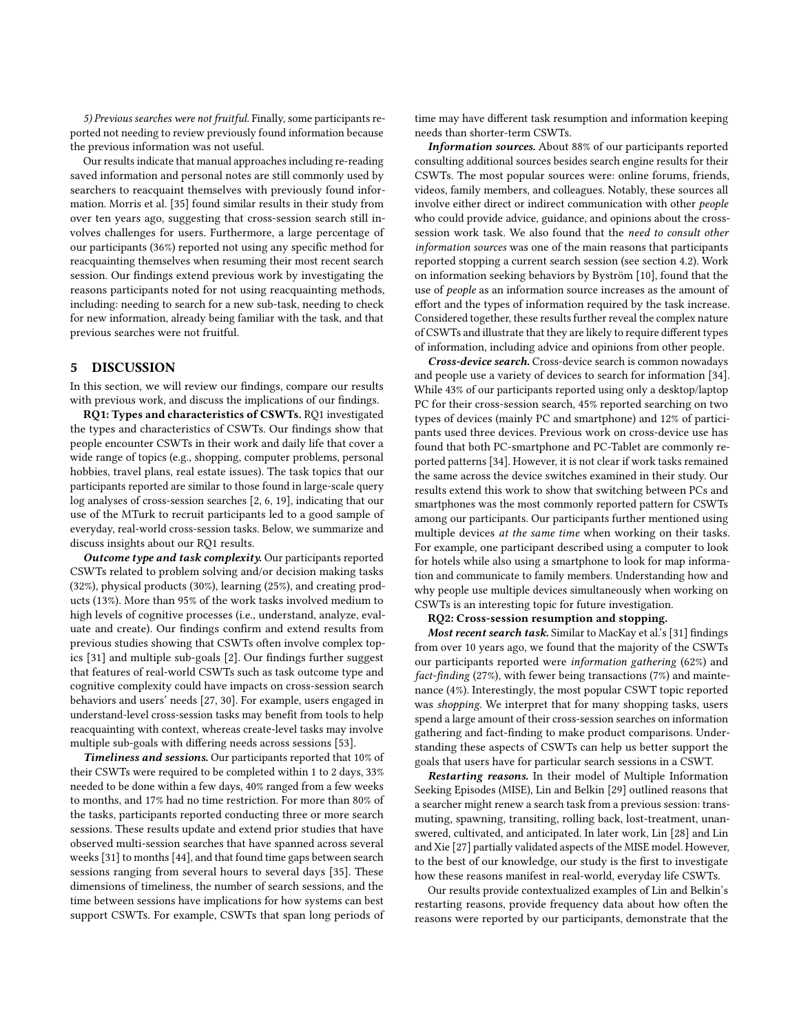5) Previous searches were not fruitful. Finally, some participants reported not needing to review previously found information because the previous information was not useful.

Our results indicate that manual approaches including re-reading saved information and personal notes are still commonly used by searchers to reacquaint themselves with previously found information. Morris et al. [\[35\]](#page-9-9) found similar results in their study from over ten years ago, suggesting that cross-session search still involves challenges for users. Furthermore, a large percentage of our participants (36%) reported not using any specific method for reacquainting themselves when resuming their most recent search session. Our findings extend previous work by investigating the reasons participants noted for not using reacquainting methods, including: needing to search for a new sub-task, needing to check for new information, already being familiar with the task, and that previous searches were not fruitful.

# 5 DISCUSSION

In this section, we will review our findings, compare our results with previous work, and discuss the implications of our findings.

RQ1: Types and characteristics of CSWTs. RQ1 investigated the types and characteristics of CSWTs. Our findings show that people encounter CSWTs in their work and daily life that cover a wide range of topics (e.g., shopping, computer problems, personal hobbies, travel plans, real estate issues). The task topics that our participants reported are similar to those found in large-scale query log analyses of cross-session searches [\[2,](#page-9-11) [6,](#page-9-41) [19\]](#page-9-42), indicating that our use of the MTurk to recruit participants led to a good sample of everyday, real-world cross-session tasks. Below, we summarize and discuss insights about our RQ1 results.

Outcome type and task complexity. Our participants reported CSWTs related to problem solving and/or decision making tasks (32%), physical products (30%), learning (25%), and creating products (13%). More than 95% of the work tasks involved medium to high levels of cognitive processes (i.e., understand, analyze, evaluate and create). Our findings confirm and extend results from previous studies showing that CSWTs often involve complex topics [\[31\]](#page-9-8) and multiple sub-goals [\[2\]](#page-9-11). Our findings further suggest that features of real-world CSWTs such as task outcome type and cognitive complexity could have impacts on cross-session search behaviors and users' needs [\[27,](#page-9-43) [30\]](#page-9-22). For example, users engaged in understand-level cross-session tasks may benefit from tools to help reacquainting with context, whereas create-level tasks may involve multiple sub-goals with differing needs across sessions [\[53\]](#page-9-44).

Timeliness and sessions. Our participants reported that 10% of their CSWTs were required to be completed within 1 to 2 days, 33% needed to be done within a few days, 40% ranged from a few weeks to months, and 17% had no time restriction. For more than 80% of the tasks, participants reported conducting three or more search sessions. These results update and extend prior studies that have observed multi-session searches that have spanned across several weeks [\[31\]](#page-9-8) to months [\[44\]](#page-9-21), and that found time gaps between search sessions ranging from several hours to several days [\[35\]](#page-9-9). These dimensions of timeliness, the number of search sessions, and the time between sessions have implications for how systems can best support CSWTs. For example, CSWTs that span long periods of

time may have different task resumption and information keeping needs than shorter-term CSWTs.

Information sources. About 88% of our participants reported consulting additional sources besides search engine results for their CSWTs. The most popular sources were: online forums, friends, videos, family members, and colleagues. Notably, these sources all involve either direct or indirect communication with other people who could provide advice, guidance, and opinions about the crosssession work task. We also found that the need to consult other information sources was one of the main reasons that participants reported stopping a current search session (see section 4.2). Work on information seeking behaviors by Byström [\[10\]](#page-9-45), found that the use of people as an information source increases as the amount of effort and the types of information required by the task increase. Considered together, these results further reveal the complex nature of CSWTs and illustrate that they are likely to require different types of information, including advice and opinions from other people.

Cross-device search. Cross-device search is common nowadays and people use a variety of devices to search for information [\[34\]](#page-9-46). While 43% of our participants reported using only a desktop/laptop PC for their cross-session search, 45% reported searching on two types of devices (mainly PC and smartphone) and 12% of participants used three devices. Previous work on cross-device use has found that both PC-smartphone and PC-Tablet are commonly reported patterns [\[34\]](#page-9-46). However, it is not clear if work tasks remained the same across the device switches examined in their study. Our results extend this work to show that switching between PCs and smartphones was the most commonly reported pattern for CSWTs among our participants. Our participants further mentioned using multiple devices at the same time when working on their tasks. For example, one participant described using a computer to look for hotels while also using a smartphone to look for map information and communicate to family members. Understanding how and why people use multiple devices simultaneously when working on CSWTs is an interesting topic for future investigation.

#### RQ2: Cross-session resumption and stopping.

Most recent search task. Similar to MacKay et al.'s [\[31\]](#page-9-8) findings from over 10 years ago, we found that the majority of the CSWTs our participants reported were information gathering (62%) and fact-finding (27%), with fewer being transactions (7%) and maintenance (4%). Interestingly, the most popular CSWT topic reported was shopping. We interpret that for many shopping tasks, users spend a large amount of their cross-session searches on information gathering and fact-finding to make product comparisons. Understanding these aspects of CSWTs can help us better support the goals that users have for particular search sessions in a CSWT.

Restarting reasons. In their model of Multiple Information Seeking Episodes (MISE), Lin and Belkin [\[29\]](#page-9-24) outlined reasons that a searcher might renew a search task from a previous session: transmuting, spawning, transiting, rolling back, lost-treatment, unanswered, cultivated, and anticipated. In later work, Lin [\[28\]](#page-9-0) and Lin and Xie [\[27\]](#page-9-43) partially validated aspects of the MISE model. However, to the best of our knowledge, our study is the first to investigate how these reasons manifest in real-world, everyday life CSWTs.

Our results provide contextualized examples of Lin and Belkin's restarting reasons, provide frequency data about how often the reasons were reported by our participants, demonstrate that the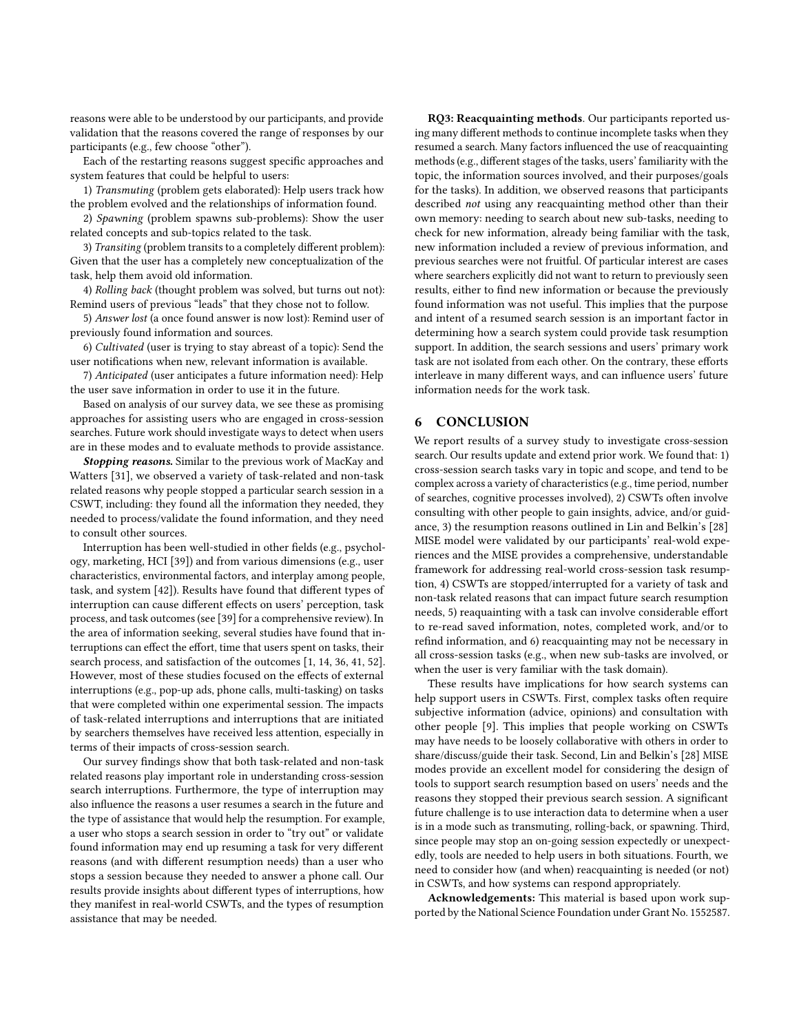reasons were able to be understood by our participants, and provide validation that the reasons covered the range of responses by our participants (e.g., few choose "other").

Each of the restarting reasons suggest specific approaches and system features that could be helpful to users:

1) Transmuting (problem gets elaborated): Help users track how the problem evolved and the relationships of information found.

2) Spawning (problem spawns sub-problems): Show the user related concepts and sub-topics related to the task.

3) Transiting (problem transits to a completely different problem): Given that the user has a completely new conceptualization of the task, help them avoid old information.

4) Rolling back (thought problem was solved, but turns out not): Remind users of previous "leads" that they chose not to follow.

5) Answer lost (a once found answer is now lost): Remind user of previously found information and sources.

6) Cultivated (user is trying to stay abreast of a topic): Send the user notifications when new, relevant information is available.

7) Anticipated (user anticipates a future information need): Help the user save information in order to use it in the future.

Based on analysis of our survey data, we see these as promising approaches for assisting users who are engaged in cross-session searches. Future work should investigate ways to detect when users are in these modes and to evaluate methods to provide assistance.

Stopping reasons. Similar to the previous work of MacKay and Watters [\[31\]](#page-9-8), we observed a variety of task-related and non-task related reasons why people stopped a particular search session in a CSWT, including: they found all the information they needed, they needed to process/validate the found information, and they need to consult other sources.

Interruption has been well-studied in other fields (e.g., psychology, marketing, HCI [\[39\]](#page-9-47)) and from various dimensions (e.g., user characteristics, environmental factors, and interplay among people, task, and system [\[42\]](#page-9-48)). Results have found that different types of interruption can cause different effects on users' perception, task process, and task outcomes (see [\[39\]](#page-9-47) for a comprehensive review). In the area of information seeking, several studies have found that interruptions can effect the effort, time that users spent on tasks, their search process, and satisfaction of the outcomes [\[1,](#page-9-49) [14,](#page-9-50) [36,](#page-9-51) [41,](#page-9-52) [52\]](#page-9-53). However, most of these studies focused on the effects of external interruptions (e.g., pop-up ads, phone calls, multi-tasking) on tasks that were completed within one experimental session. The impacts of task-related interruptions and interruptions that are initiated by searchers themselves have received less attention, especially in terms of their impacts of cross-session search.

Our survey findings show that both task-related and non-task related reasons play important role in understanding cross-session search interruptions. Furthermore, the type of interruption may also influence the reasons a user resumes a search in the future and the type of assistance that would help the resumption. For example, a user who stops a search session in order to "try out" or validate found information may end up resuming a task for very different reasons (and with different resumption needs) than a user who stops a session because they needed to answer a phone call. Our results provide insights about different types of interruptions, how they manifest in real-world CSWTs, and the types of resumption assistance that may be needed.

RQ3: Reacquainting methods. Our participants reported using many different methods to continue incomplete tasks when they resumed a search. Many factors influenced the use of reacquainting methods (e.g., different stages of the tasks, users' familiarity with the topic, the information sources involved, and their purposes/goals for the tasks). In addition, we observed reasons that participants described not using any reacquainting method other than their own memory: needing to search about new sub-tasks, needing to check for new information, already being familiar with the task, new information included a review of previous information, and previous searches were not fruitful. Of particular interest are cases where searchers explicitly did not want to return to previously seen results, either to find new information or because the previously found information was not useful. This implies that the purpose and intent of a resumed search session is an important factor in determining how a search system could provide task resumption support. In addition, the search sessions and users' primary work task are not isolated from each other. On the contrary, these efforts interleave in many different ways, and can influence users' future information needs for the work task.

# 6 CONCLUSION

We report results of a survey study to investigate cross-session search. Our results update and extend prior work. We found that: 1) cross-session search tasks vary in topic and scope, and tend to be complex across a variety of characteristics (e.g., time period, number of searches, cognitive processes involved), 2) CSWTs often involve consulting with other people to gain insights, advice, and/or guidance, 3) the resumption reasons outlined in Lin and Belkin's [\[28\]](#page-9-0) MISE model were validated by our participants' real-wold experiences and the MISE provides a comprehensive, understandable framework for addressing real-world cross-session task resumption, 4) CSWTs are stopped/interrupted for a variety of task and non-task related reasons that can impact future search resumption needs, 5) reaquainting with a task can involve considerable effort to re-read saved information, notes, completed work, and/or to refind information, and 6) reacquainting may not be necessary in all cross-session tasks (e.g., when new sub-tasks are involved, or when the user is very familiar with the task domain).

These results have implications for how search systems can help support users in CSWTs. First, complex tasks often require subjective information (advice, opinions) and consultation with other people [\[9\]](#page-9-18). This implies that people working on CSWTs may have needs to be loosely collaborative with others in order to share/discuss/guide their task. Second, Lin and Belkin's [\[28\]](#page-9-0) MISE modes provide an excellent model for considering the design of tools to support search resumption based on users' needs and the reasons they stopped their previous search session. A significant future challenge is to use interaction data to determine when a user is in a mode such as transmuting, rolling-back, or spawning. Third, since people may stop an on-going session expectedly or unexpectedly, tools are needed to help users in both situations. Fourth, we need to consider how (and when) reacquainting is needed (or not) in CSWTs, and how systems can respond appropriately.

Acknowledgements: This material is based upon work supported by the National Science Foundation under Grant No. 1552587.